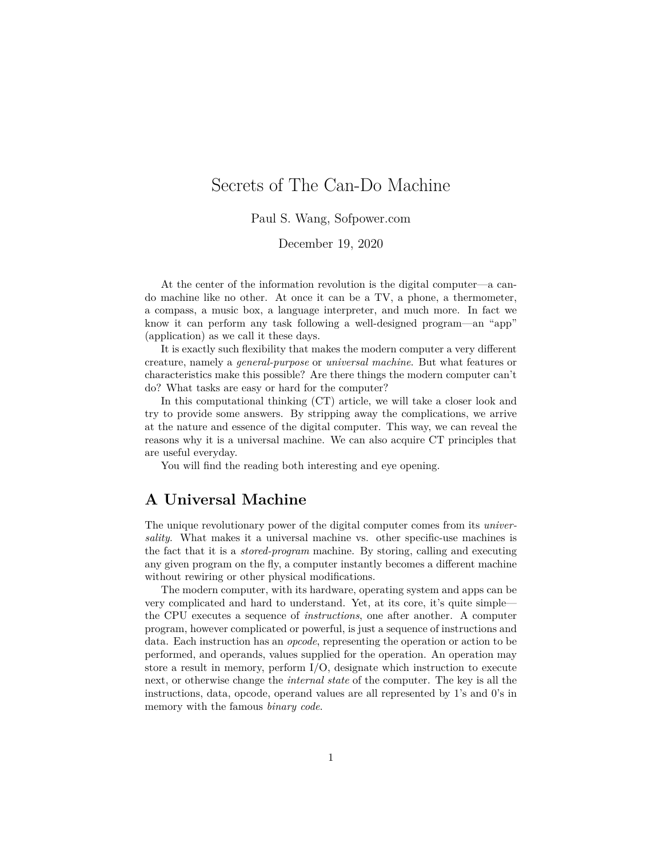# Secrets of The Can-Do Machine

Paul S. Wang, Sofpower.com

December 19, 2020

At the center of the information revolution is the digital computer—a cando machine like no other. At once it can be a TV, a phone, a thermometer, a compass, a music box, a language interpreter, and much more. In fact we know it can perform any task following a well-designed program—an "app" (application) as we call it these days.

It is exactly such flexibility that makes the modern computer a very different creature, namely a *general-purpose* or *universal machine*. But what features or characteristics make this possible? Are there things the modern computer can't do? What tasks are easy or hard for the computer?

In this computational thinking (CT) article, we will take a closer look and try to provide some answers. By stripping away the complications, we arrive at the nature and essence of the digital computer. This way, we can reveal the reasons why it is a universal machine. We can also acquire CT principles that are useful everyday.

You will find the reading both interesting and eye opening.

### **A Universal Machine**

The unique revolutionary power of the digital computer comes from its *universality*. What makes it a universal machine vs. other specific-use machines is the fact that it is a *stored-program* machine. By storing, calling and executing any given program on the fly, a computer instantly becomes a different machine without rewiring or other physical modifications.

The modern computer, with its hardware, operating system and apps can be very complicated and hard to understand. Yet, at its core, it's quite simple the CPU executes a sequence of *instructions*, one after another. A computer program, however complicated or powerful, is just a sequence of instructions and data. Each instruction has an *opcode*, representing the operation or action to be performed, and operands, values supplied for the operation. An operation may store a result in memory, perform I/O, designate which instruction to execute next, or otherwise change the *internal state* of the computer. The key is all the instructions, data, opcode, operand values are all represented by 1's and 0's in memory with the famous *binary code*.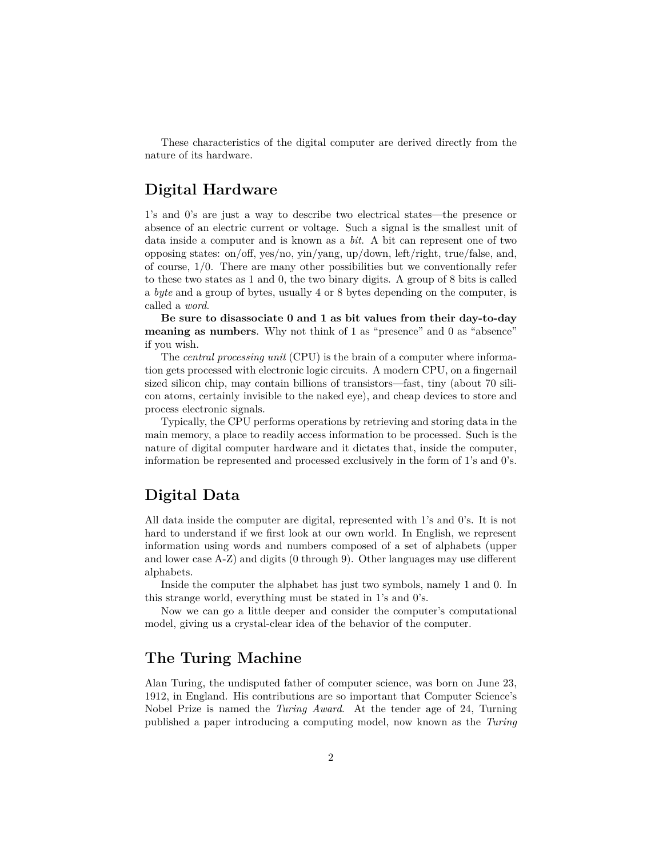These characteristics of the digital computer are derived directly from the nature of its hardware.

## **Digital Hardware**

1's and 0's are just a way to describe two electrical states—the presence or absence of an electric current or voltage. Such a signal is the smallest unit of data inside a computer and is known as a *bit*. A bit can represent one of two opposing states: on/off, yes/no, yin/yang, up/down, left/right, true/false, and, of course, 1/0. There are many other possibilities but we conventionally refer to these two states as 1 and 0, the two binary digits. A group of 8 bits is called a *byte* and a group of bytes, usually 4 or 8 bytes depending on the computer, is called a *word*.

**Be sure to disassociate 0 and 1 as bit values from their day-to-day meaning as numbers**. Why not think of 1 as "presence" and 0 as "absence" if you wish.

The *central processing unit* (CPU) is the brain of a computer where information gets processed with electronic logic circuits. A modern CPU, on a fingernail sized silicon chip, may contain billions of transistors—fast, tiny (about 70 silicon atoms, certainly invisible to the naked eye), and cheap devices to store and process electronic signals.

Typically, the CPU performs operations by retrieving and storing data in the main memory, a place to readily access information to be processed. Such is the nature of digital computer hardware and it dictates that, inside the computer, information be represented and processed exclusively in the form of 1's and 0's.

### **Digital Data**

All data inside the computer are digital, represented with 1's and 0's. It is not hard to understand if we first look at our own world. In English, we represent information using words and numbers composed of a set of alphabets (upper and lower case A-Z) and digits (0 through 9). Other languages may use different alphabets.

Inside the computer the alphabet has just two symbols, namely 1 and 0. In this strange world, everything must be stated in 1's and 0's.

Now we can go a little deeper and consider the computer's computational model, giving us a crystal-clear idea of the behavior of the computer.

### **The Turing Machine**

Alan Turing, the undisputed father of computer science, was born on June 23, 1912, in England. His contributions are so important that Computer Science's Nobel Prize is named the *Turing Award*. At the tender age of 24, Turning published a paper introducing a computing model, now known as the *Turing*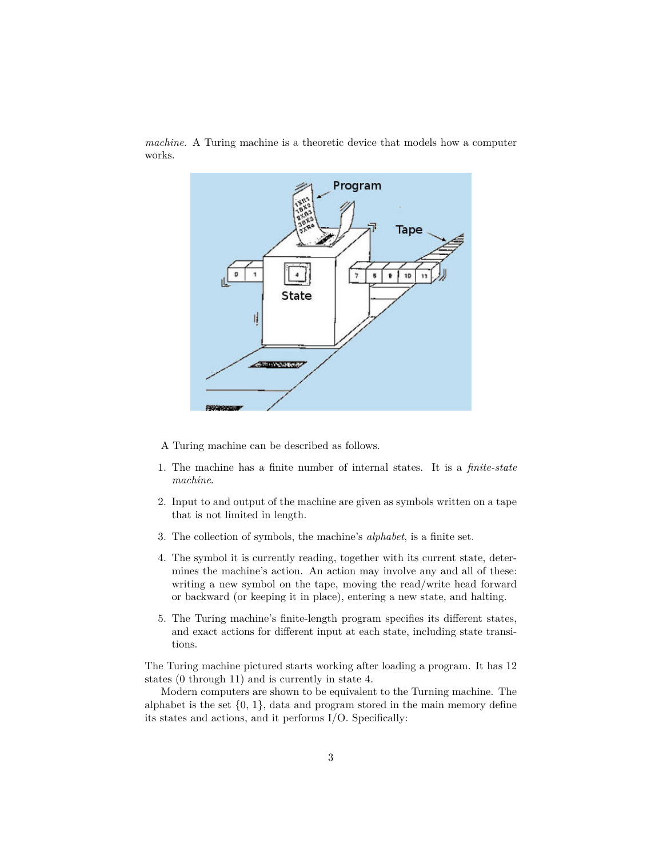

*machine*. A Turing machine is a theoretic device that models how a computer works.

- A Turing machine can be described as follows.
- 1. The machine has a finite number of internal states. It is a *finite-state machine*.
- 2. Input to and output of the machine are given as symbols written on a tape that is not limited in length.
- 3. The collection of symbols, the machine's *alphabet*, is a finite set.
- 4. The symbol it is currently reading, together with its current state, determines the machine's action. An action may involve any and all of these: writing a new symbol on the tape, moving the read/write head forward or backward (or keeping it in place), entering a new state, and halting.
- 5. The Turing machine's finite-length program specifies its different states, and exact actions for different input at each state, including state transitions.

The Turing machine pictured starts working after loading a program. It has 12 states (0 through 11) and is currently in state 4.

Modern computers are shown to be equivalent to the Turning machine. The alphabet is the set  $\{0, 1\}$ , data and program stored in the main memory define its states and actions, and it performs I/O. Specifically: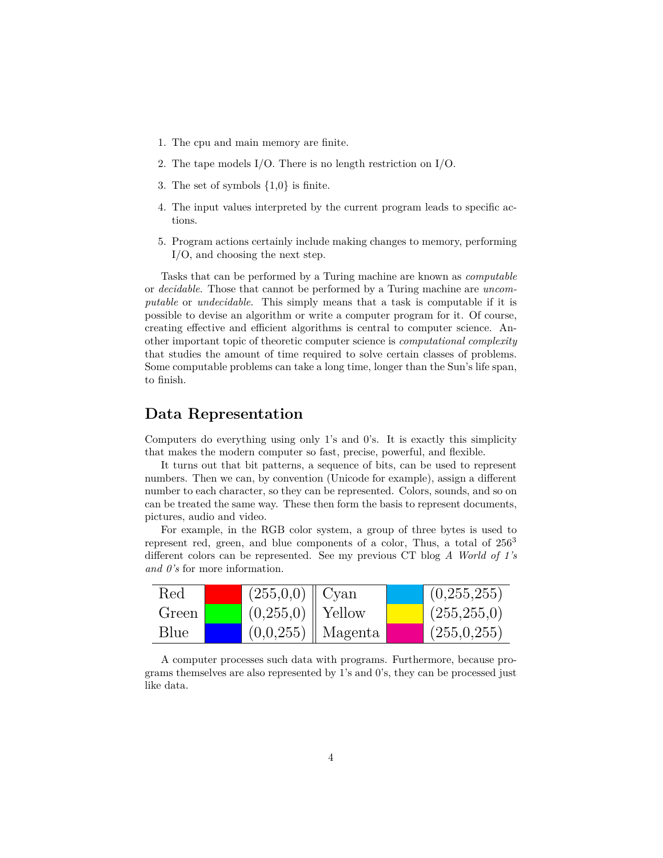- 1. The cpu and main memory are finite.
- 2. The tape models I/O. There is no length restriction on I/O.
- 3. The set of symbols {1,0} is finite.
- 4. The input values interpreted by the current program leads to specific actions.
- 5. Program actions certainly include making changes to memory, performing I/O, and choosing the next step.

Tasks that can be performed by a Turing machine are known as *computable* or *decidable*. Those that cannot be performed by a Turing machine are *uncomputable* or *undecidable*. This simply means that a task is computable if it is possible to devise an algorithm or write a computer program for it. Of course, creating effective and efficient algorithms is central to computer science. Another important topic of theoretic computer science is *computational complexity* that studies the amount of time required to solve certain classes of problems. Some computable problems can take a long time, longer than the Sun's life span, to finish.

#### **Data Representation**

Computers do everything using only 1's and 0's. It is exactly this simplicity that makes the modern computer so fast, precise, powerful, and flexible.

It turns out that bit patterns, a sequence of bits, can be used to represent numbers. Then we can, by convention (Unicode for example), assign a different number to each character, so they can be represented. Colors, sounds, and so on can be treated the same way. These then form the basis to represent documents, pictures, audio and video.

For example, in the RGB color system, a group of three bytes is used to represent red, green, and blue components of a color, Thus, a total of  $256<sup>3</sup>$ different colors can be represented. See my previous CT blog *A World of 1's and 0's* for more information.

| Red   | $(255,0,0)$   Cyan   |                        | (0,255,255)   |
|-------|----------------------|------------------------|---------------|
| Green | $(0,255,0)$   Yellow |                        | (255, 255, 0) |
| Blue  |                      | $(0,0,255)$    Magenta | (255,0,255)   |

A computer processes such data with programs. Furthermore, because programs themselves are also represented by 1's and 0's, they can be processed just like data.